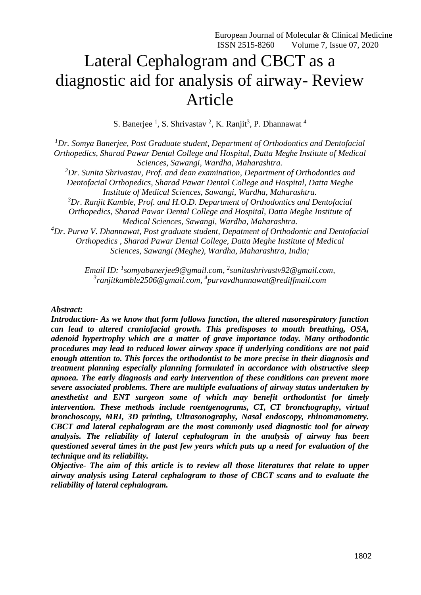# Lateral Cephalogram and CBCT as a diagnostic aid for analysis of airway- Review Article

S. Banerjee <sup>1</sup>, S. Shrivastav <sup>2</sup>, K. Ranjit<sup>3</sup>, P. Dhannawat <sup>4</sup>

*<sup>1</sup>Dr. Somya Banerjee, Post Graduate student, Department of Orthodontics and Dentofacial Orthopedics, Sharad Pawar Dental College and Hospital, Datta Meghe Institute of Medical Sciences, Sawangi, Wardha, Maharashtra.*

*<sup>2</sup>Dr. Sunita Shrivastav, Prof. and dean examination, Department of Orthodontics and Dentofacial Orthopedics, Sharad Pawar Dental College and Hospital, Datta Meghe*

*Institute of Medical Sciences, Sawangi, Wardha, Maharashtra. <sup>3</sup>Dr. Ranjit Kamble, Prof. and H.O.D. Department of Orthodontics and Dentofacial Orthopedics, Sharad Pawar Dental College and Hospital, Datta Meghe Institute of Medical Sciences, Sawangi, Wardha, Maharashtra.*

*<sup>4</sup>Dr. Purva V. Dhannawat, Post graduate student, Depatment of Orthodontic and Dentofacial Orthopedics , Sharad Pawar Dental College, Datta Meghe Institute of Medical Sciences, Sawangi (Meghe), Wardha, Maharashtra, India;*

> *Email ID: <sup>1</sup> [somyabanerjee9@gmail.com,](mailto:somyabanerjee9@gmail.com) 2 [sunitashrivastv92@gmail.com,](mailto:sunitashrivastv92@gmail.com) 3 [ranjitkamble2506@gmail.com,](mailto:ranjitkamble2506@gmail.com) 4 [purvavdhannawat@rediffmail.com](mailto:purvavdhannawat@rediffmail.com)*

### *Abstract:*

*Introduction- As we know that form follows function, the altered nasorespiratory function can lead to altered craniofacial growth. This predisposes to mouth breathing, OSA, adenoid hypertrophy which are a matter of grave importance today. Many orthodontic procedures may lead to reduced lower airway space if underlying conditions are not paid enough attention to. This forces the orthodontist to be more precise in their diagnosis and treatment planning especially planning formulated in accordance with obstructive sleep apnoea. The early diagnosis and early intervention of these conditions can prevent more severe associated problems. There are multiple evaluations of airway status undertaken by anesthetist and ENT surgeon some of which may benefit orthodontist for timely intervention. These methods include roentgenograms, CT, CT bronchography, virtual bronchoscopy, MRI, 3D printing, Ultrasonography, Nasal endoscopy, rhinomanometry. CBCT and lateral cephalogram are the most commonly used diagnostic tool for airway analysis. The reliability of lateral cephalogram in the analysis of airway has been questioned several times in the past few years which puts up a need for evaluation of the technique and its reliability.*

*Objective- The aim of this article is to review all those literatures that relate to upper airway analysis using Lateral cephalogram to those of CBCT scans and to evaluate the reliability of lateral cephalogram.*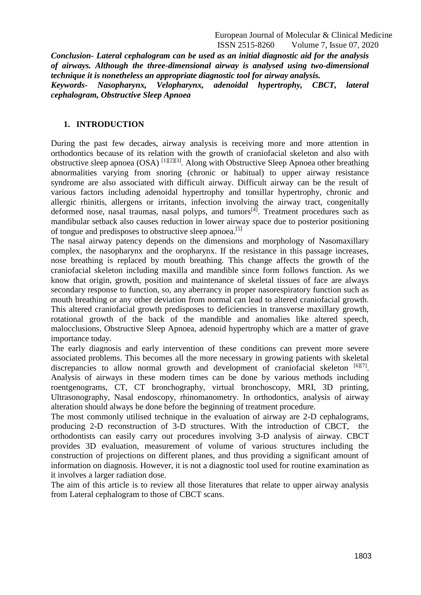European Journal of Molecular & Clinical Medicine ISSN 2515-8260 Volume 7, Issue 07, 2020

*Conclusion- Lateral cephalogram can be used as an initial diagnostic aid for the analysis of airways. Although the three-dimensional airway is analysed using two-dimensional technique it is nonetheless an appropriate diagnostic tool for airway analysis. Keywords- Nasopharynx, Velopharynx, adenoidal hypertrophy, CBCT, lateral cephalogram, Obstructive Sleep Apnoea*

#### **1. INTRODUCTION**

During the past few decades, airway analysis is receiving more and more attention in orthodontics because of its relation with the growth of craniofacial skeleton and also with obstructive sleep apnoea  $(OSA)$ <sup>[1][2][3]</sup>. Along with Obstructive Sleep Apnoea other breathing abnormalities varying from snoring (chronic or habitual) to upper airway resistance syndrome are also associated with difficult airway. Difficult airway can be the result of various factors including adenoidal hypertrophy and tonsillar hypertrophy, chronic and allergic rhinitis, allergens or irritants, infection involving the airway tract, congenitally deformed nose, nasal traumas, nasal polyps, and tumors<sup>[4]</sup>. Treatment procedures such as mandibular setback also causes reduction in lower airway space due to posterior positioning of tongue and predisposes to obstructive sleep apnoea.[5]

The nasal airway patency depends on the dimensions and morphology of Nasomaxillary complex, the nasopharynx and the oropharynx. If the resistance in this passage increases, nose breathing is replaced by mouth breathing. This change affects the growth of the craniofacial skeleton including maxilla and mandible since form follows function. As we know that origin, growth, position and maintenance of skeletal tissues of face are always secondary response to function, so, any aberrancy in proper nasorespiratory function such as mouth breathing or any other deviation from normal can lead to altered craniofacial growth. This altered craniofacial growth predisposes to deficiencies in transverse maxillary growth, rotational growth of the back of the mandible and anomalies like altered speech, malocclusions, Obstructive Sleep Apnoea, adenoid hypertrophy which are a matter of grave importance today.

The early diagnosis and early intervention of these conditions can prevent more severe associated problems. This becomes all the more necessary in growing patients with skeletal discrepancies to allow normal growth and development of craniofacial skeleton [6][7]. Analysis of airways in these modern times can be done by various methods including roentgenograms, CT, CT bronchography, virtual bronchoscopy, MRI, 3D printing, Ultrasonography, Nasal endoscopy, rhinomanometry. In orthodontics, analysis of airway alteration should always be done before the beginning of treatment procedure.

The most commonly utilised technique in the evaluation of airway are 2-D cephalograms, producing 2-D reconstruction of 3-D structures. With the introduction of CBCT, the orthodontists can easily carry out procedures involving 3-D analysis of airway. CBCT provides 3D evaluation, measurement of volume of various structures including the construction of projections on different planes, and thus providing a significant amount of information on diagnosis. However, it is not a diagnostic tool used for routine examination as it involves a larger radiation dose.

The aim of this article is to review all those literatures that relate to upper airway analysis from Lateral cephalogram to those of CBCT scans.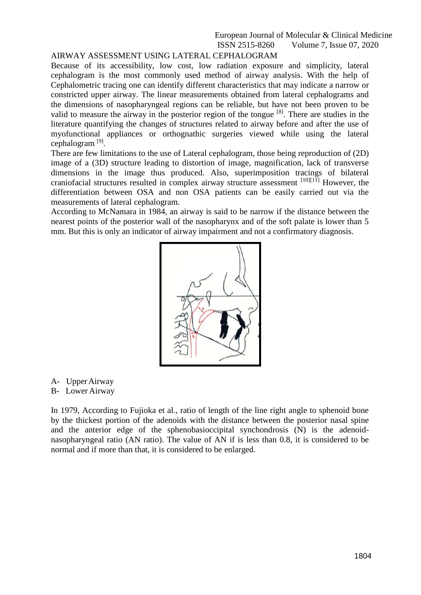## European Journal of Molecular & Clinical Medicine ISSN 2515-8260 Volume 7, Issue 07, 2020

### AIRWAY ASSESSMENT USING LATERAL CEPHALOGRAM

Because of its accessibility, low cost, low radiation exposure and simplicity, lateral cephalogram is the most commonly used method of airway analysis. With the help of Cephalometric tracing one can identify different characteristics that may indicate a narrow or constricted upper airway. The linear measurements obtained from lateral cephalograms and the dimensions of nasopharyngeal regions can be reliable, but have not been proven to be valid to measure the airway in the posterior region of the tongue [8]. There are studies in the literature quantifying the changes of structures related to airway before and after the use of myofunctional appliances or orthognathic surgeries viewed while using the lateral cephalogram <sup>[9]</sup>.

There are few limitations to the use of Lateral cephalogram, those being reproduction of (2D) image of a (3D) structure leading to distortion of image, magnification, lack of transverse dimensions in the image thus produced. Also, superimposition tracings of bilateral craniofacial structures resulted in complex airway structure assessment [10][11] However, the differentiation between OSA and non OSA patients can be easily carried out via the measurements of lateral cephalogram.

According to McNamara in 1984, an airway is said to be narrow if the distance between the nearest points of the posterior wall of the nasopharynx and of the soft palate is lower than 5 mm. But this is only an indicator of airway impairment and not a confirmatory diagnosis.



- A- UpperAirway
- B- Lower Airway

In 1979, According to Fujioka et al., ratio of length of the line right angle to sphenoid bone by the thickest portion of the adenoids with the distance between the posterior nasal spine and the anterior edge of the sphenobasioccipital synchondrosis (N) is the adenoidnasopharyngeal ratio (AN ratio). The value of AN if is less than 0.8, it is considered to be normal and if more than that, it is considered to be enlarged.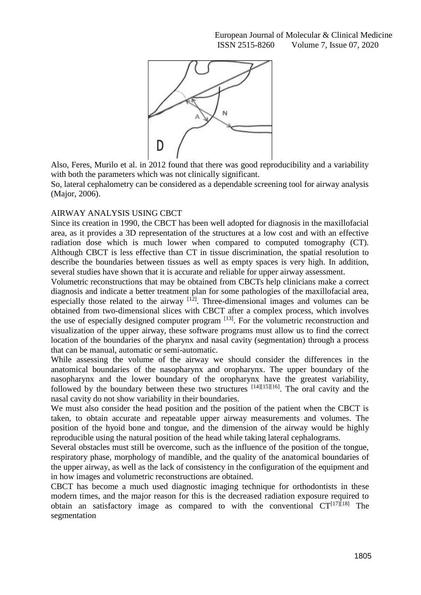

Also, Feres, Murilo et al. in 2012 found that there was good reproducibility and a variability with both the parameters which was not clinically significant.

So, lateral cephalometry can be considered as a dependable screening tool for airway analysis (Major, 2006).

### AIRWAY ANALYSIS USING CBCT

Since its creation in 1990, the CBCT has been well adopted for diagnosis in the maxillofacial area, as it provides a 3D representation of the structures at a low cost and with an effective radiation dose which is much lower when compared to computed tomography (CT). Although CBCT is less effective than CT in tissue discrimination, the spatial resolution to describe the boundaries between tissues as well as empty spaces is very high. In addition, several studies have shown that it is accurate and reliable for upper airway assessment.

Volumetric reconstructions that may be obtained from CBCTs help clinicians make a correct diagnosis and indicate a better treatment plan for some pathologies of the maxillofacial area, especially those related to the airway  $[12]$ . Three-dimensional images and volumes can be obtained from two-dimensional slices with CBCT after a complex process, which involves the use of especially designed computer program  $^{[13]}$ . For the volumetric reconstruction and visualization of the upper airway, these software programs must allow us to find the correct location of the boundaries of the pharynx and nasal cavity (segmentation) through a process that can be manual, automatic or semi-automatic.

While assessing the volume of the airway we should consider the differences in the anatomical boundaries of the nasopharynx and oropharynx. The upper boundary of the nasopharynx and the lower boundary of the oropharynx have the greatest variability, followed by the boundary between these two structures <sup>[14][15][16]</sup>. The oral cavity and the nasal cavity do not show variability in their boundaries.

We must also consider the head position and the position of the patient when the CBCT is taken, to obtain accurate and repeatable upper airway measurements and volumes. The position of the hyoid bone and tongue, and the dimension of the airway would be highly reproducible using the natural position of the head while taking lateral cephalograms.

Several obstacles must still be overcome, such as the influence of the position of the tongue, respiratory phase, morphology of mandible, and the quality of the anatomical boundaries of the upper airway, as well as the lack of consistency in the configuration of the equipment and in how images and volumetric reconstructions are obtained.

CBCT has become a much used diagnostic imaging technique for orthodontists in these modern times, and the major reason for this is the decreased radiation exposure required to obtain an satisfactory image as compared to with the conventional  $CT^{[17][18]}$  The segmentation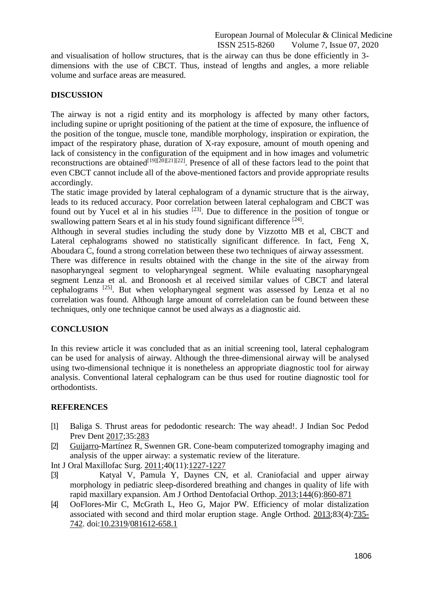and visualisation of hollow structures, that is the airway can thus be done efficiently in 3 dimensions with the use of CBCT. Thus, instead of lengths and angles, a more reliable volume and surface areas are measured.

## **DISCUSSION**

The airway is not a rigid entity and its morphology is affected by many other factors, including supine or upright positioning of the patient at the time of exposure, the influence of the position of the tongue, muscle tone, mandible morphology, inspiration or expiration, the impact of the respiratory phase, duration of X-ray exposure, amount of mouth opening and lack of consistency in the configuration of the equipment and in how images and volumetric reconstructions are obtained<sup>[19][20][21][22]</sup>. Presence of all of these factors lead to the point that even CBCT cannot include all of the above-mentioned factors and provide appropriate results accordingly.

The static image provided by lateral cephalogram of a dynamic structure that is the airway, leads to its reduced accuracy. Poor correlation between lateral cephalogram and CBCT was found out by Yucel et al in his studies  $[23]$ . Due to difference in the position of tongue or swallowing pattern Sears et al in his study found significant difference [24].

Although in several studies including the study done by Vizzotto MB et al, CBCT and Lateral cephalograms showed no statistically significant difference. In fact, Feng X, Aboudara C, found a strong correlation between these two techniques of airway assessment.

There was difference in results obtained with the change in the site of the airway from nasopharyngeal segment to velopharyngeal segment. While evaluating nasopharyngeal segment Lenza et al. and Bronoosh et al received similar values of CBCT and lateral cephalograms [25]. But when velopharyngeal segment was assessed by Lenza et al no correlation was found. Although large amount of correlelation can be found between these techniques, only one technique cannot be used always as a diagnostic aid.

### **CONCLUSION**

In this review article it was concluded that as an initial screening tool, lateral cephalogram can be used for analysis of airway. Although the three-dimensional airway will be analysed using two-dimensional technique it is nonetheless an appropriate diagnostic tool for airway analysis. Conventional lateral cephalogram can be thus used for routine diagnostic tool for orthodontists.

## **REFERENCES**

- [1] Baliga S. Thrust areas for pedodontic research: The way ahead!. J Indian Soc Pedod Prev Dent 2017;35:283
- [2] [Guijarro-](http://3.guijarro/)Martínez R, Swennen GR. Cone-beam computerized tomography imaging and analysis of the upper airway: a systematic review of the literature.

Int J Oral Maxillofac Surg. 2011;40(11):1227-1227

- [3] Katyal V, Pamula Y, Daynes CN, et al. Craniofacial and upper airway morphology in pediatric sleep-disordered breathing and changes in quality of life with rapid maxillary expansion. Am J Orthod Dentofacial Orthop. 2013;144(6):860-871
- [4] OoFlores-Mir C, McGrath L, Heo G, Major PW. Efficiency of molar distalization associated with second and third molar eruption stage. Angle Orthod. 2013;83(4):735- 742. doi:10.2319/081612-658.1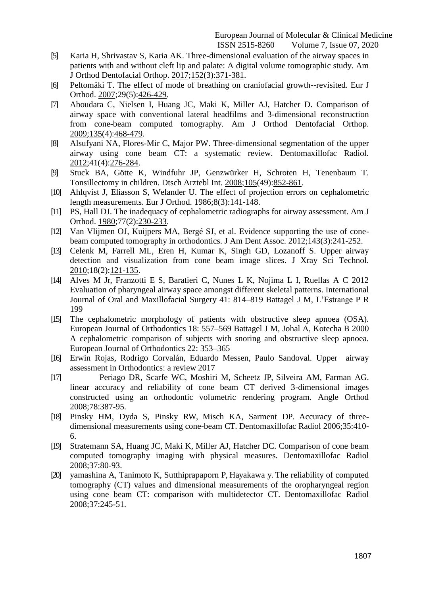European Journal of Molecular & Clinical Medicine ISSN 2515-8260 Volume 7, Issue 07, 2020

- [5] Karia H, Shrivastav S, Karia AK. Three-dimensional evaluation of the airway spaces in patients with and without cleft lip and palate: A digital volume tomographic study. Am J Orthod Dentofacial Orthop. 2017;152(3):371-381.
- [6] Peltomäki T. The effect of mode of breathing on craniofacial growth--revisited. Eur J Orthod. 2007;29(5):426-429.
- [7] Aboudara C, Nielsen I, Huang JC, Maki K, Miller AJ, Hatcher D. Comparison of airway space with conventional lateral headfilms and 3-dimensional reconstruction from cone-beam computed tomography. Am J Orthod Dentofacial Orthop. 2009;135(4):468-479.
- [8] Alsufyani NA, Flores-Mir C, Major PW. Three-dimensional segmentation of the upper airway using cone beam CT: a systematic review. Dentomaxillofac Radiol. 2012;41(4):276-284.
- [9] Stuck BA, Götte K, Windfuhr JP, Genzwürker H, Schroten H, Tenenbaum T. Tonsillectomy in children. Dtsch Arztebl Int. 2008;105(49):852-861.
- [10] Ahlqvist J, Eliasson S, Welander U. The effect of projection errors on cephalometric length measurements. Eur J Orthod. 1986;8(3):141-148.
- [11] PS, Hall DJ. The inadequacy of cephalometric radiographs for airway assessment. Am J Orthod. 1980;77(2):230-233.
- [12] Van Vlijmen OJ, Kuijpers MA, Bergé SJ, et al. Evidence supporting the use of conebeam computed tomography in orthodontics. J Am Dent Assoc. 2012;143(3):241-252.
- [13] Celenk M, Farrell ML, Eren H, Kumar K, Singh GD, Lozanoff S. Upper airway detection and visualization from cone beam image slices. J Xray Sci Technol. 2010;18(2):121-135.
- [14] Alves M Jr, Franzotti E S, Baratieri C, Nunes L K, Nojima L I, Ruellas A C 2012 Evaluation of pharyngeal airway space amongst different skeletal patterns. International Journal of Oral and Maxillofacial Surgery 41: 814–819 Battagel J M, L'Estrange P R 199
- [15] The cephalometric morphology of patients with obstructive sleep apnoea (OSA). European Journal of Orthodontics 18: 557–569 Battagel J M, Johal A, Kotecha B 2000 A cephalometric comparison of subjects with snoring and obstructive sleep apnoea. European Journal of Orthodontics 22: 353–365
- [16] Erwin Rojas, Rodrigo Corvalán, Eduardo Messen, Paulo Sandoval. Upper airway assessment in Orthodontics: a review 2017
- [17] Periago DR, Scarfe WC, Moshiri M, Scheetz JP, Silveira AM, Farman AG. linear accuracy and reliability of cone beam CT derived 3-dimensional images constructed using an orthodontic volumetric rendering program. Angle Orthod 2008;78:387-95.
- [18] Pinsky HM, Dyda S, Pinsky RW, Misch KA, Sarment DP. Accuracy of threedimensional measurements using cone-beam CT. Dentomaxillofac Radiol 2006;35:410- 6.
- [19] Stratemann SA, Huang JC, Maki K, Miller AJ, Hatcher DC. Comparison of cone beam computed tomography imaging with physical measures. Dentomaxillofac Radiol 2008;37:80-93.
- [20] yamashina A, Tanimoto K, Sutthiprapaporn P, Hayakawa y. The reliability of computed tomography (CT) values and dimensional measurements of the oropharyngeal region using cone beam CT: comparison with multidetector CT. Dentomaxillofac Radiol 2008;37:245-51.